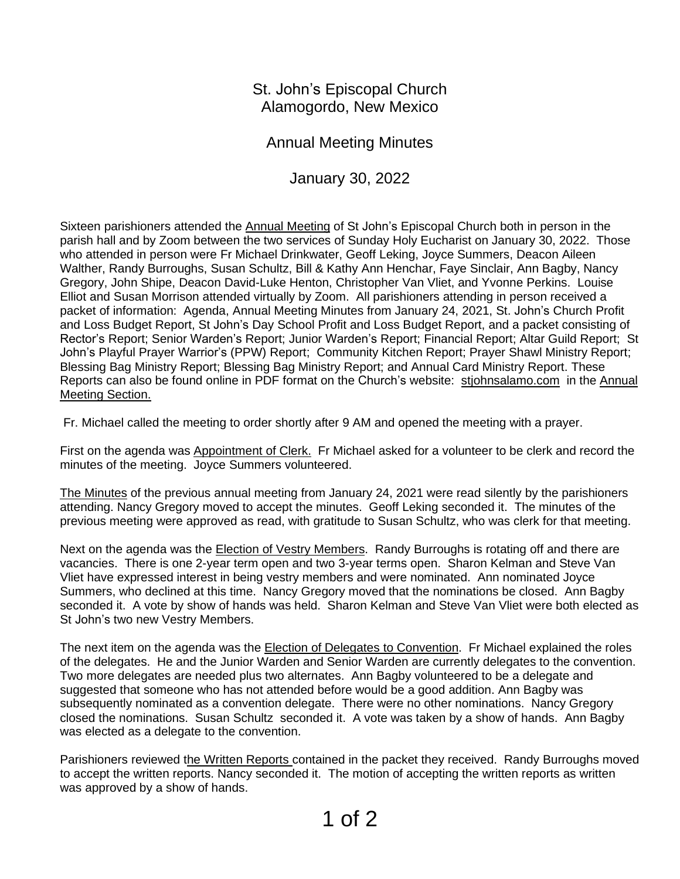St. John's Episcopal Church Alamogordo, New Mexico

Annual Meeting Minutes

January 30, 2022

Sixteen parishioners attended the Annual Meeting of St John's Episcopal Church both in person in the parish hall and by Zoom between the two services of Sunday Holy Eucharist on January 30, 2022. Those who attended in person were Fr Michael Drinkwater, Geoff Leking, Joyce Summers, Deacon Aileen Walther, Randy Burroughs, Susan Schultz, Bill & Kathy Ann Henchar, Faye Sinclair, Ann Bagby, Nancy Gregory, John Shipe, Deacon David-Luke Henton, Christopher Van Vliet, and Yvonne Perkins. Louise Elliot and Susan Morrison attended virtually by Zoom. All parishioners attending in person received a packet of information: Agenda, Annual Meeting Minutes from January 24, 2021, St. John's Church Profit and Loss Budget Report, St John's Day School Profit and Loss Budget Report, and a packet consisting of Rector's Report; Senior Warden's Report; Junior Warden's Report; Financial Report; Altar Guild Report; St John's Playful Prayer Warrior's (PPW) Report; Community Kitchen Report; Prayer Shawl Ministry Report; Blessing Bag Ministry Report; Blessing Bag Ministry Report; and Annual Card Ministry Report. These Reports can also be found online in PDF format on the Church's website: [stjohnsalamo.com](http://stjohnsalamo.com/) in the Annual Meeting Section.

Fr. Michael called the meeting to order shortly after 9 AM and opened the meeting with a prayer.

First on the agenda was Appointment of Clerk. Fr Michael asked for a volunteer to be clerk and record the minutes of the meeting. Joyce Summers volunteered.

The Minutes of the previous annual meeting from January 24, 2021 were read silently by the parishioners attending. Nancy Gregory moved to accept the minutes. Geoff Leking seconded it. The minutes of the previous meeting were approved as read, with gratitude to Susan Schultz, who was clerk for that meeting.

Next on the agenda was the **Election of Vestry Members**. Randy Burroughs is rotating off and there are vacancies. There is one 2-year term open and two 3-year terms open. Sharon Kelman and Steve Van Vliet have expressed interest in being vestry members and were nominated. Ann nominated Joyce Summers, who declined at this time. Nancy Gregory moved that the nominations be closed. Ann Bagby seconded it. A vote by show of hands was held. Sharon Kelman and Steve Van Vliet were both elected as St John's two new Vestry Members.

The next item on the agenda was the Election of Delegates to Convention. Fr Michael explained the roles of the delegates. He and the Junior Warden and Senior Warden are currently delegates to the convention. Two more delegates are needed plus two alternates. Ann Bagby volunteered to be a delegate and suggested that someone who has not attended before would be a good addition. Ann Bagby was subsequently nominated as a convention delegate. There were no other nominations. Nancy Gregory closed the nominations. Susan Schultz seconded it. A vote was taken by a show of hands. Ann Bagby was elected as a delegate to the convention.

Parishioners reviewed the Written Reports contained in the packet they received. Randy Burroughs moved to accept the written reports. Nancy seconded it. The motion of accepting the written reports as written was approved by a show of hands.

1 of 2